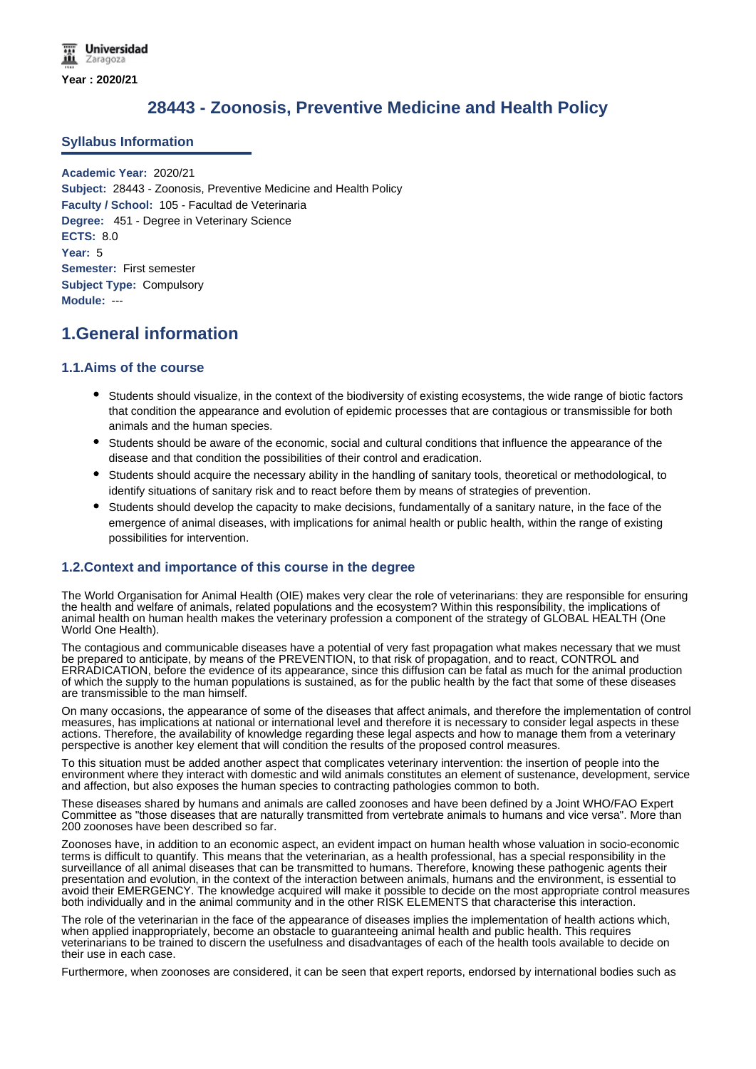# **28443 - Zoonosis, Preventive Medicine and Health Policy**

#### **Syllabus Information**

**Academic Year:** 2020/21 **Subject:** 28443 - Zoonosis, Preventive Medicine and Health Policy **Faculty / School:** 105 - Facultad de Veterinaria **Degree:** 451 - Degree in Veterinary Science **ECTS:** 8.0 **Year:** 5 **Semester:** First semester **Subject Type:** Compulsory **Module:** ---

## **1.General information**

#### **1.1.Aims of the course**

- Students should visualize, in the context of the biodiversity of existing ecosystems, the wide range of biotic factors that condition the appearance and evolution of epidemic processes that are contagious or transmissible for both animals and the human species.
- Students should be aware of the economic, social and cultural conditions that influence the appearance of the disease and that condition the possibilities of their control and eradication.
- Students should acquire the necessary ability in the handling of sanitary tools, theoretical or methodological, to identify situations of sanitary risk and to react before them by means of strategies of prevention.
- Students should develop the capacity to make decisions, fundamentally of a sanitary nature, in the face of the emergence of animal diseases, with implications for animal health or public health, within the range of existing possibilities for intervention.

### **1.2.Context and importance of this course in the degree**

The World Organisation for Animal Health (OIE) makes very clear the role of veterinarians: they are responsible for ensuring the health and welfare of animals, related populations and the ecosystem? Within this responsibility, the implications of animal health on human health makes the veterinary profession a component of the strategy of GLOBAL HEALTH (One World One Health).

The contagious and communicable diseases have a potential of very fast propagation what makes necessary that we must be prepared to anticipate, by means of the PREVENTION, to that risk of propagation, and to react, CONTROL and ERRADICATION, before the evidence of its appearance, since this diffusion can be fatal as much for the animal production of which the supply to the human populations is sustained, as for the public health by the fact that some of these diseases are transmissible to the man himself.

On many occasions, the appearance of some of the diseases that affect animals, and therefore the implementation of control measures, has implications at national or international level and therefore it is necessary to consider legal aspects in these actions. Therefore, the availability of knowledge regarding these legal aspects and how to manage them from a veterinary perspective is another key element that will condition the results of the proposed control measures.

To this situation must be added another aspect that complicates veterinary intervention: the insertion of people into the environment where they interact with domestic and wild animals constitutes an element of sustenance, development, service and affection, but also exposes the human species to contracting pathologies common to both.

These diseases shared by humans and animals are called zoonoses and have been defined by a Joint WHO/FAO Expert Committee as "those diseases that are naturally transmitted from vertebrate animals to humans and vice versa". More than 200 zoonoses have been described so far.

Zoonoses have, in addition to an economic aspect, an evident impact on human health whose valuation in socio-economic terms is difficult to quantify. This means that the veterinarian, as a health professional, has a special responsibility in the surveillance of all animal diseases that can be transmitted to humans. Therefore, knowing these pathogenic agents their presentation and evolution, in the context of the interaction between animals, humans and the environment, is essential to avoid their EMERGENCY. The knowledge acquired will make it possible to decide on the most appropriate control measures both individually and in the animal community and in the other RISK ELEMENTS that characterise this interaction.

The role of the veterinarian in the face of the appearance of diseases implies the implementation of health actions which, when applied inappropriately, become an obstacle to guaranteeing animal health and public health. This requires veterinarians to be trained to discern the usefulness and disadvantages of each of the health tools available to decide on their use in each case.

Furthermore, when zoonoses are considered, it can be seen that expert reports, endorsed by international bodies such as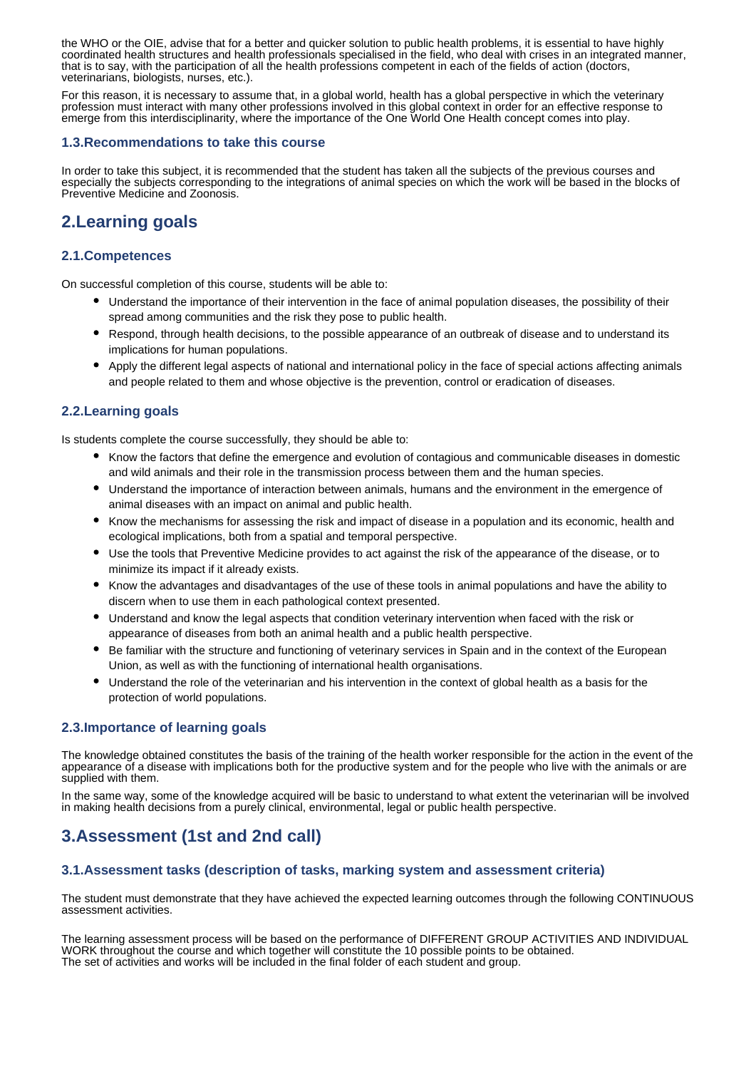the WHO or the OIE, advise that for a better and quicker solution to public health problems, it is essential to have highly coordinated health structures and health professionals specialised in the field, who deal with crises in an integrated manner, that is to say, with the participation of all the health professions competent in each of the fields of action (doctors, veterinarians, biologists, nurses, etc.).

For this reason, it is necessary to assume that, in a global world, health has a global perspective in which the veterinary profession must interact with many other professions involved in this global context in order for an effective response to emerge from this interdisciplinarity, where the importance of the One World One Health concept comes into play.

#### **1.3.Recommendations to take this course**

In order to take this subject, it is recommended that the student has taken all the subjects of the previous courses and especially the subjects corresponding to the integrations of animal species on which the work will be based in the blocks of Preventive Medicine and Zoonosis.

## **2.Learning goals**

### **2.1.Competences**

On successful completion of this course, students will be able to:

- Understand the importance of their intervention in the face of animal population diseases, the possibility of their spread among communities and the risk they pose to public health.
- Respond, through health decisions, to the possible appearance of an outbreak of disease and to understand its implications for human populations.
- Apply the different legal aspects of national and international policy in the face of special actions affecting animals and people related to them and whose objective is the prevention, control or eradication of diseases.

### **2.2.Learning goals**

Is students complete the course successfully, they should be able to:

- Know the factors that define the emergence and evolution of contagious and communicable diseases in domestic and wild animals and their role in the transmission process between them and the human species.
- Understand the importance of interaction between animals, humans and the environment in the emergence of animal diseases with an impact on animal and public health.
- Know the mechanisms for assessing the risk and impact of disease in a population and its economic, health and ecological implications, both from a spatial and temporal perspective.
- Use the tools that Preventive Medicine provides to act against the risk of the appearance of the disease, or to minimize its impact if it already exists.
- Know the advantages and disadvantages of the use of these tools in animal populations and have the ability to discern when to use them in each pathological context presented.
- Understand and know the legal aspects that condition veterinary intervention when faced with the risk or appearance of diseases from both an animal health and a public health perspective.
- Be familiar with the structure and functioning of veterinary services in Spain and in the context of the European Union, as well as with the functioning of international health organisations.
- Understand the role of the veterinarian and his intervention in the context of global health as a basis for the protection of world populations.

#### **2.3.Importance of learning goals**

The knowledge obtained constitutes the basis of the training of the health worker responsible for the action in the event of the appearance of a disease with implications both for the productive system and for the people who live with the animals or are supplied with them.

In the same way, some of the knowledge acquired will be basic to understand to what extent the veterinarian will be involved in making health decisions from a purely clinical, environmental, legal or public health perspective.

# **3.Assessment (1st and 2nd call)**

#### **3.1.Assessment tasks (description of tasks, marking system and assessment criteria)**

The student must demonstrate that they have achieved the expected learning outcomes through the following CONTINUOUS assessment activities.

The learning assessment process will be based on the performance of DIFFERENT GROUP ACTIVITIES AND INDIVIDUAL WORK throughout the course and which together will constitute the 10 possible points to be obtained. The set of activities and works will be included in the final folder of each student and group.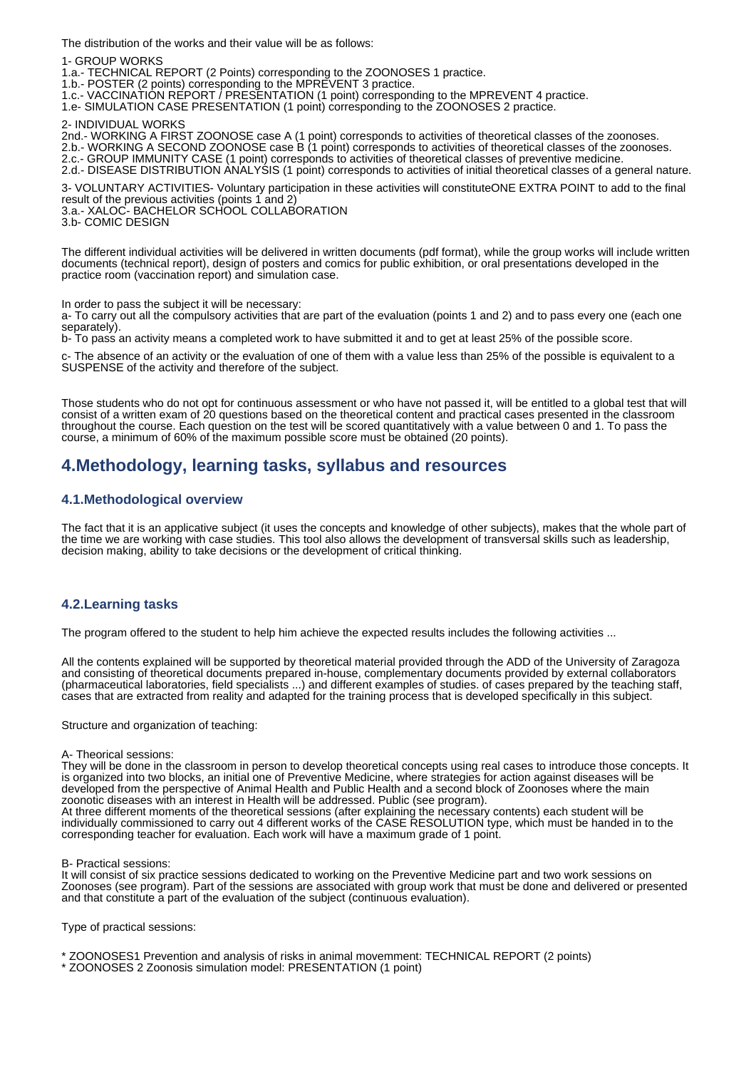The distribution of the works and their value will be as follows:

1- GROUP WORKS

1.a.- TECHNICAL REPORT (2 Points) corresponding to the ZOONOSES 1 practice.

1.b.- POSTER (2 points) corresponding to the MPREVENT 3 practice.

1.c.- VACCINATION REPORT / PRESENTATION (1 point) corresponding to the MPREVENT 4 practice.

1.e- SIMULATION CASE PRESENTATION (1 point) corresponding to the ZOONOSES 2 practice.

2- INDIVIDUAL WORKS

2nd.- WORKING A FIRST ZOONOSE case A (1 point) corresponds to activities of theoretical classes of the zoonoses. 2.b.- WORKING A SECOND ZOONOSE case B (1 point) corresponds to activities of theoretical classes of the zoonoses. 2.c.- GROUP IMMUNITY CASE (1 point) corresponds to activities of theoretical classes of preventive medicine. 2.d.- DISEASE DISTRIBUTION ANALYSIS (1 point) corresponds to activities of initial theoretical classes of a general nature.

3- VOLUNTARY ACTIVITIES- Voluntary participation in these activities will constituteONE EXTRA POINT to add to the final result of the previous activities (points 1 and 2)

3.a.- XALOC- BACHELOR SCHOOL COLLABORATION

3.b- COMIC DESIGN

The different individual activities will be delivered in written documents (pdf format), while the group works will include written documents (technical report), design of posters and comics for public exhibition, or oral presentations developed in the practice room (vaccination report) and simulation case.

In order to pass the subject it will be necessary:

a- To carry out all the compulsory activities that are part of the evaluation (points 1 and 2) and to pass every one (each one separately).

b- To pass an activity means a completed work to have submitted it and to get at least 25% of the possible score.

c- The absence of an activity or the evaluation of one of them with a value less than 25% of the possible is equivalent to a SUSPENSE of the activity and therefore of the subject.

Those students who do not opt for continuous assessment or who have not passed it, will be entitled to a global test that will consist of a written exam of 20 questions based on the theoretical content and practical cases presented in the classroom throughout the course. Each question on the test will be scored quantitatively with a value between 0 and 1. To pass the course, a minimum of 60% of the maximum possible score must be obtained (20 points).

## **4.Methodology, learning tasks, syllabus and resources**

#### **4.1.Methodological overview**

The fact that it is an applicative subject (it uses the concepts and knowledge of other subjects), makes that the whole part of the time we are working with case studies. This tool also allows the development of transversal skills such as leadership, decision making, ability to take decisions or the development of critical thinking.

#### **4.2.Learning tasks**

The program offered to the student to help him achieve the expected results includes the following activities ...

All the contents explained will be supported by theoretical material provided through the ADD of the University of Zaragoza and consisting of theoretical documents prepared in-house, complementary documents provided by external collaborators (pharmaceutical laboratories, field specialists ...) and different examples of studies. of cases prepared by the teaching staff, cases that are extracted from reality and adapted for the training process that is developed specifically in this subject.

Structure and organization of teaching:

A- Theorical sessions:

They will be done in the classroom in person to develop theoretical concepts using real cases to introduce those concepts. It is organized into two blocks, an initial one of Preventive Medicine, where strategies for action against diseases will be developed from the perspective of Animal Health and Public Health and a second block of Zoonoses where the main zoonotic diseases with an interest in Health will be addressed. Public (see program).

At three different moments of the theoretical sessions (after explaining the necessary contents) each student will be individually commissioned to carry out 4 different works of the CASE RESOLUTION type, which must be handed in to the corresponding teacher for evaluation. Each work will have a maximum grade of 1 point.

B- Practical sessions:

It will consist of six practice sessions dedicated to working on the Preventive Medicine part and two work sessions on Zoonoses (see program). Part of the sessions are associated with group work that must be done and delivered or presented and that constitute a part of the evaluation of the subject (continuous evaluation).

Type of practical sessions:

\* ZOONOSES1 Prevention and analysis of risks in animal movemment: TECHNICAL REPORT (2 points)

\* ZOONOSES 2 Zoonosis simulation model: PRESENTATION (1 point)